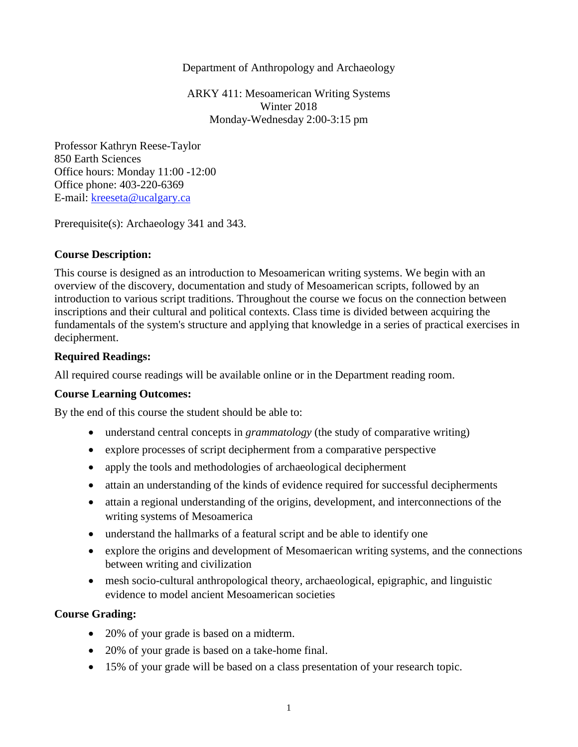#### Department of Anthropology and Archaeology

ARKY 411: Mesoamerican Writing Systems Winter 2018 Monday-Wednesday 2:00-3:15 pm

Professor Kathryn Reese-Taylor 850 Earth Sciences Office hours: Monday 11:00 -12:00 Office phone: 403-220-6369 E-mail: [kreeseta@ucalgary.ca](mailto:k_reesetaylor@yahoo.com)

Prerequisite(s): Archaeology 341 and 343.

### **Course Description:**

This course is designed as an introduction to Mesoamerican writing systems. We begin with an overview of the discovery, documentation and study of Mesoamerican scripts, followed by an introduction to various script traditions. Throughout the course we focus on the connection between inscriptions and their cultural and political contexts. Class time is divided between acquiring the fundamentals of the system's structure and applying that knowledge in a series of practical exercises in decipherment.

### **Required Readings:**

All required course readings will be available online or in the Department reading room.

# **Course Learning Outcomes:**

By the end of this course the student should be able to:

- understand central concepts in *grammatology* (the study of comparative writing)
- explore processes of script decipherment from a comparative perspective
- apply the tools and methodologies of archaeological decipherment
- attain an understanding of the kinds of evidence required for successful decipherments
- attain a regional understanding of the origins, development, and interconnections of the writing systems of Mesoamerica
- understand the hallmarks of a featural script and be able to identify one
- explore the origins and development of Mesomaerican writing systems, and the connections between writing and civilization
- mesh socio-cultural anthropological theory, archaeological, epigraphic, and linguistic evidence to model ancient Mesoamerican societies

#### **Course Grading:**

- 20% of your grade is based on a midterm.
- 20% of your grade is based on a take-home final.
- 15% of your grade will be based on a class presentation of your research topic.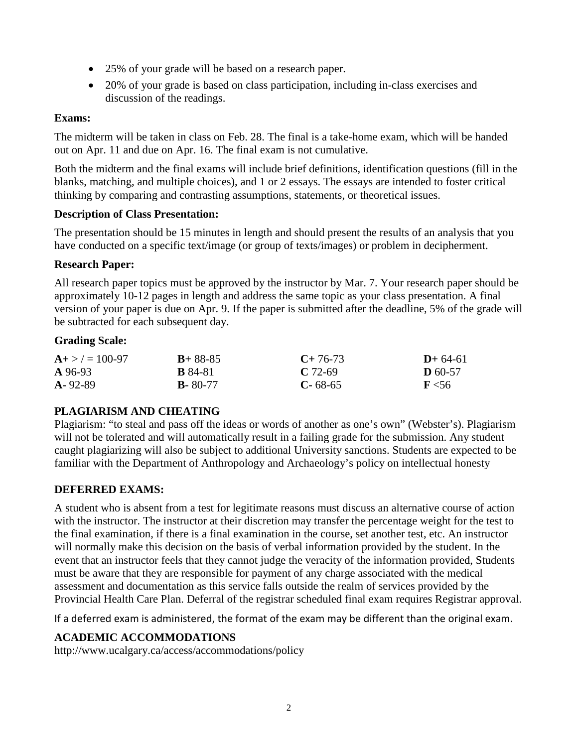- 25% of your grade will be based on a research paper.
- 20% of your grade is based on class participation, including in-class exercises and discussion of the readings.

# **Exams:**

The midterm will be taken in class on Feb. 28. The final is a take-home exam, which will be handed out on Apr. 11 and due on Apr. 16. The final exam is not cumulative.

Both the midterm and the final exams will include brief definitions, identification questions (fill in the blanks, matching, and multiple choices), and 1 or 2 essays. The essays are intended to foster critical thinking by comparing and contrasting assumptions, statements, or theoretical issues.

# **Description of Class Presentation:**

The presentation should be 15 minutes in length and should present the results of an analysis that you have conducted on a specific text/image (or group of texts/images) or problem in decipherment.

# **Research Paper:**

All research paper topics must be approved by the instructor by Mar. 7. Your research paper should be approximately 10-12 pages in length and address the same topic as your class presentation. A final version of your paper is due on Apr. 9. If the paper is submitted after the deadline, 5% of the grade will be subtracted for each subsequent day.

### **Grading Scale:**

| $A + > \ell = 100 - 97$<br>A 96-93 | $B+88-85$      | $C+76-73$     | $D+64-61$    |
|------------------------------------|----------------|---------------|--------------|
|                                    | <b>B</b> 84-81 | $C.72-69$     | $D$ 60-57    |
| $A - 92 - 89$                      | $B - 80 - 77$  | $C - 68 - 65$ | $\rm{F}$ <56 |

# **PLAGIARISM AND CHEATING**

Plagiarism: "to steal and pass off the ideas or words of another as one's own" (Webster's). Plagiarism will not be tolerated and will automatically result in a failing grade for the submission. Any student caught plagiarizing will also be subject to additional University sanctions. Students are expected to be familiar with the Department of Anthropology and Archaeology's policy on intellectual honesty

# **DEFERRED EXAMS:**

A student who is absent from a test for legitimate reasons must discuss an alternative course of action with the instructor. The instructor at their discretion may transfer the percentage weight for the test to the final examination, if there is a final examination in the course, set another test, etc. An instructor will normally make this decision on the basis of verbal information provided by the student. In the event that an instructor feels that they cannot judge the veracity of the information provided, Students must be aware that they are responsible for payment of any charge associated with the medical assessment and documentation as this service falls outside the realm of services provided by the Provincial Health Care Plan. Deferral of the registrar scheduled final exam requires Registrar approval.

If a deferred exam is administered, the format of the exam may be different than the original exam.

# **ACADEMIC ACCOMMODATIONS**

http://www.ucalgary.ca/access/accommodations/policy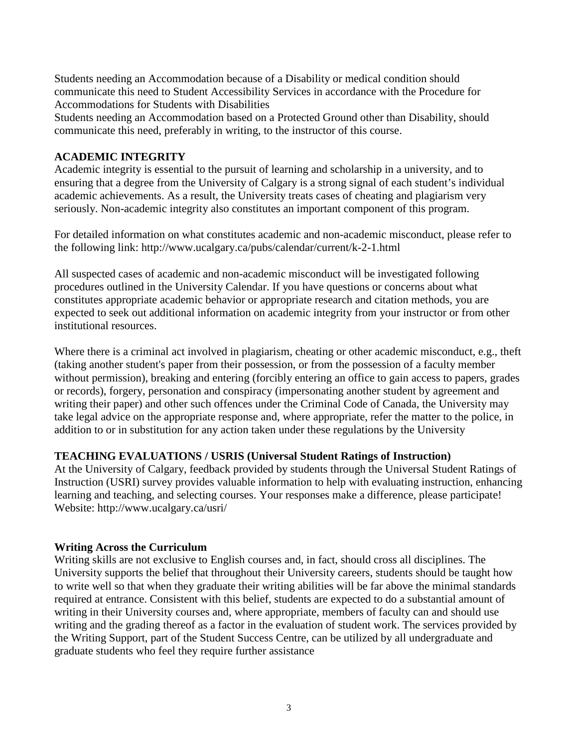Students needing an Accommodation because of a Disability or medical condition should communicate this need to Student Accessibility Services in accordance with the Procedure for Accommodations for Students with Disabilities

Students needing an Accommodation based on a Protected Ground other than Disability, should communicate this need, preferably in writing, to the instructor of this course.

# **ACADEMIC INTEGRITY**

Academic integrity is essential to the pursuit of learning and scholarship in a university, and to ensuring that a degree from the University of Calgary is a strong signal of each student's individual academic achievements. As a result, the University treats cases of cheating and plagiarism very seriously. Non-academic integrity also constitutes an important component of this program.

For detailed information on what constitutes academic and non-academic misconduct, please refer to the following link: http://www.ucalgary.ca/pubs/calendar/current/k-2-1.html

All suspected cases of academic and non-academic misconduct will be investigated following procedures outlined in the University Calendar. If you have questions or concerns about what constitutes appropriate academic behavior or appropriate research and citation methods, you are expected to seek out additional information on academic integrity from your instructor or from other institutional resources.

Where there is a criminal act involved in plagiarism, cheating or other academic misconduct, e.g., theft (taking another student's paper from their possession, or from the possession of a faculty member without permission), breaking and entering (forcibly entering an office to gain access to papers, grades or records), forgery, personation and conspiracy (impersonating another student by agreement and writing their paper) and other such offences under the Criminal Code of Canada, the University may take legal advice on the appropriate response and, where appropriate, refer the matter to the police, in addition to or in substitution for any action taken under these regulations by the University

# **TEACHING EVALUATIONS / USRIS (Universal Student Ratings of Instruction)**

At the University of Calgary, feedback provided by students through the Universal Student Ratings of Instruction (USRI) survey provides valuable information to help with evaluating instruction, enhancing learning and teaching, and selecting courses. Your responses make a difference, please participate! Website: http://www.ucalgary.ca/usri/

#### **Writing Across the Curriculum**

Writing skills are not exclusive to English courses and, in fact, should cross all disciplines. The University supports the belief that throughout their University careers, students should be taught how to write well so that when they graduate their writing abilities will be far above the minimal standards required at entrance. Consistent with this belief, students are expected to do a substantial amount of writing in their University courses and, where appropriate, members of faculty can and should use writing and the grading thereof as a factor in the evaluation of student work. The services provided by the Writing Support, part of the Student Success Centre, can be utilized by all undergraduate and graduate students who feel they require further assistance